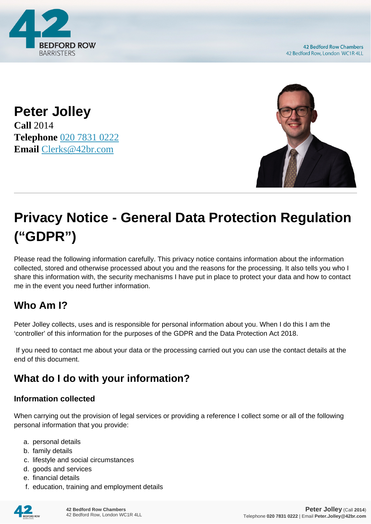

**Peter Jolley Call** 2014 **Telephone** [020 7831 0222](https://pdf.codeshore.co/_42br/tel:020 7831 0222) **Email** [Clerks@42br.com](mailto:Clerks@42br.com)



# **Privacy Notice - General Data Protection Regulation ("GDPR")**

Please read the following information carefully. This privacy notice contains information about the information collected, stored and otherwise processed about you and the reasons for the processing. It also tells you who I share this information with, the security mechanisms I have put in place to protect your data and how to contact me in the event you need further information.

# **Who Am I?**

Peter Jolley collects, uses and is responsible for personal information about you. When I do this I am the 'controller' of this information for the purposes of the GDPR and the Data Protection Act 2018.

 If you need to contact me about your data or the processing carried out you can use the contact details at the end of this document.

# **What do I do with your information?**

#### **Information collected**

When carrying out the provision of legal services or providing a reference I collect some or all of the following personal information that you provide:

- a. personal details
- b. family details
- c. lifestyle and social circumstances
- d. goods and services
- e. financial details
- f. education, training and employment details

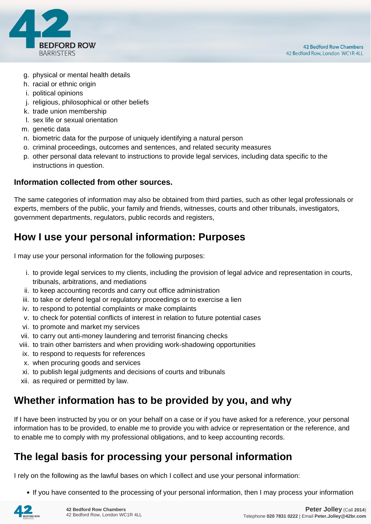

- g. physical or mental health details
- h. racial or ethnic origin
- i. political opinions
- j. religious, philosophical or other beliefs
- k. trade union membership
- l. sex life or sexual orientation
- m. genetic data
- n. biometric data for the purpose of uniquely identifying a natural person
- o. criminal proceedings, outcomes and sentences, and related security measures
- p. other personal data relevant to instructions to provide legal services, including data specific to the instructions in question.

#### **Information collected from other sources.**

The same categories of information may also be obtained from third parties, such as other legal professionals or experts, members of the public, your family and friends, witnesses, courts and other tribunals, investigators, government departments, regulators, public records and registers,

## **How I use your personal information: Purposes**

I may use your personal information for the following purposes:

- i. to provide legal services to my clients, including the provision of legal advice and representation in courts, tribunals, arbitrations, and mediations
- ii. to keep accounting records and carry out office administration
- iii. to take or defend legal or regulatory proceedings or to exercise a lien
- iv. to respond to potential complaints or make complaints
- v. to check for potential conflicts of interest in relation to future potential cases
- vi. to promote and market my services
- vii. to carry out anti-money laundering and terrorist financing checks
- viii. to train other barristers and when providing work-shadowing opportunities
- ix. to respond to requests for references
- x. when procuring goods and services
- xi. to publish legal judgments and decisions of courts and tribunals
- xii. as required or permitted by law.

## **Whether information has to be provided by you, and why**

If I have been instructed by you or on your behalf on a case or if you have asked for a reference, your personal information has to be provided, to enable me to provide you with advice or representation or the reference, and to enable me to comply with my professional obligations, and to keep accounting records.

## **The legal basis for processing your personal information**

I rely on the following as the lawful bases on which I collect and use your personal information:

• If you have consented to the processing of your personal information, then I may process your information

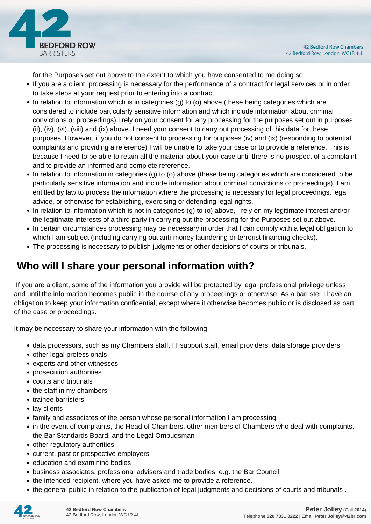

for the Purposes set out above to the extent to which you have consented to me doing so.

- If you are a client, processing is necessary for the performance of a contract for legal services or in order to take steps at your request prior to entering into a contract.
- In relation to information which is in categories (g) to (o) above (these being categories which are considered to include particularly sensitive information and which include information about criminal convictions or proceedings) I rely on your consent for any processing for the purposes set out in purposes (ii), (iv), (vi), (viii) and (ix) above. I need your consent to carry out processing of this data for these purposes. However, if you do not consent to processing for purposes (iv) and (ix) (responding to potential complaints and providing a reference) I will be unable to take your case or to provide a reference. This is because I need to be able to retain all the material about your case until there is no prospect of a complaint and to provide an informed and complete reference.
- In relation to information in categories (g) to (o) above (these being categories which are considered to be particularly sensitive information and include information about criminal convictions or proceedings), I am entitled by law to process the information where the processing is necessary for legal proceedings, legal advice, or otherwise for establishing, exercising or defending legal rights.
- In relation to information which is not in categories (g) to (o) above, I rely on my legitimate interest and/or the legitimate interests of a third party in carrying out the processing for the Purposes set out above.
- In certain circumstances processing may be necessary in order that I can comply with a legal obligation to which I am subject (including carrying out anti-money laundering or terrorist financing checks).
- The processing is necessary to publish judgments or other decisions of courts or tribunals.

# **Who will I share your personal information with?**

 If you are a client, some of the information you provide will be protected by legal professional privilege unless and until the information becomes public in the course of any proceedings or otherwise. As a barrister I have an obligation to keep your information confidential, except where it otherwise becomes public or is disclosed as part of the case or proceedings.

It may be necessary to share your information with the following:

- data processors, such as my Chambers staff, IT support staff, email providers, data storage providers
- other legal professionals
- experts and other witnesses
- prosecution authorities
- courts and tribunals
- the staff in my chambers
- trainee barristers
- lay clients
- family and associates of the person whose personal information I am processing
- in the event of complaints, the Head of Chambers, other members of Chambers who deal with complaints, the Bar Standards Board, and the Legal Ombudsman
- other regulatory authorities
- current, past or prospective employers
- education and examining bodies
- business associates, professional advisers and trade bodies, e.g. the Bar Council
- the intended recipient, where you have asked me to provide a reference.
- the general public in relation to the publication of legal judgments and decisions of courts and tribunals .

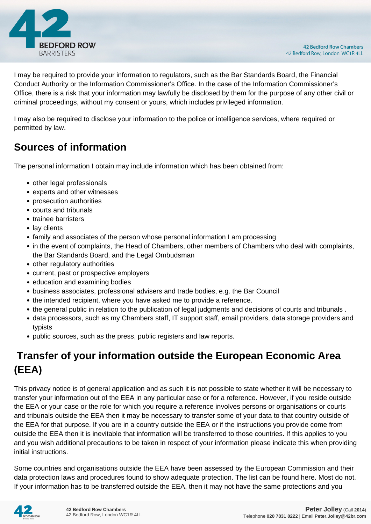

I may be required to provide your information to regulators, such as the Bar Standards Board, the Financial Conduct Authority or the Information Commissioner's Office. In the case of the Information Commissioner's Office, there is a risk that your information may lawfully be disclosed by them for the purpose of any other civil or criminal proceedings, without my consent or yours, which includes privileged information.

I may also be required to disclose your information to the police or intelligence services, where required or permitted by law.

# **Sources of information**

The personal information I obtain may include information which has been obtained from:

- other legal professionals
- experts and other witnesses
- prosecution authorities
- courts and tribunals
- trainee barristers
- lay clients
- family and associates of the person whose personal information I am processing
- in the event of complaints, the Head of Chambers, other members of Chambers who deal with complaints, the Bar Standards Board, and the Legal Ombudsman
- other regulatory authorities
- current, past or prospective employers
- education and examining bodies
- business associates, professional advisers and trade bodies, e.g. the Bar Council
- the intended recipient, where you have asked me to provide a reference.
- the general public in relation to the publication of legal judgments and decisions of courts and tribunals .
- data processors, such as my Chambers staff, IT support staff, email providers, data storage providers and typists
- public sources, such as the press, public registers and law reports.

# **Transfer of your information outside the European Economic Area (EEA)**

This privacy notice is of general application and as such it is not possible to state whether it will be necessary to transfer your information out of the EEA in any particular case or for a reference. However, if you reside outside the EEA or your case or the role for which you require a reference involves persons or organisations or courts and tribunals outside the EEA then it may be necessary to transfer some of your data to that country outside of the EEA for that purpose. If you are in a country outside the EEA or if the instructions you provide come from outside the EEA then it is inevitable that information will be transferred to those countries. If this applies to you and you wish additional precautions to be taken in respect of your information please indicate this when providing initial instructions.

Some countries and organisations outside the EEA have been assessed by the European Commission and their data protection laws and procedures found to show adequate protection. The list can be found here. Most do not. If your information has to be transferred outside the EEA, then it may not have the same protections and you

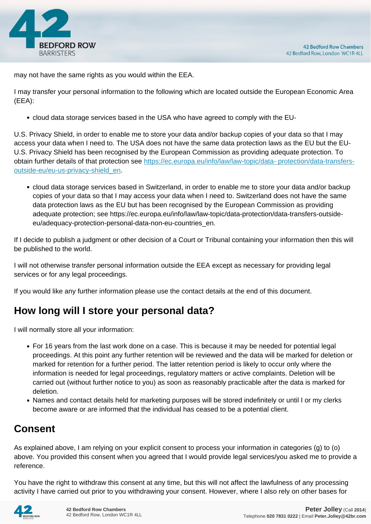

may not have the same rights as you would within the EEA.

I may transfer your personal information to the following which are located outside the European Economic Area (EEA):

cloud data storage services based in the USA who have agreed to comply with the EU-

U.S. Privacy Shield, in order to enable me to store your data and/or backup copies of your data so that I may access your data when I need to. The USA does not have the same data protection laws as the EU but the EU-U.S. Privacy Shield has been recognised by the European Commission as providing adequate protection. To obtain further details of that protection see [https://ec.europa.eu/info/law/law-topic/data- protection/data-transfers](https://ec.europa.eu/info/law/law-topic/data- protection/data-transfers-outside-eu/eu-us-privacy-shield_en)[outside-eu/eu-us-privacy-shield\\_en.](https://ec.europa.eu/info/law/law-topic/data- protection/data-transfers-outside-eu/eu-us-privacy-shield_en)

cloud data storage services based in Switzerland, in order to enable me to store your data and/or backup copies of your data so that I may access your data when I need to. Switzerland does not have the same data protection laws as the EU but has been recognised by the European Commission as providing adequate protection; see https://ec.europa.eu/info/law/law-topic/data-protection/data-transfers-outsideeu/adequacy-protection-personal-data-non-eu-countries\_en.

If I decide to publish a judgment or other decision of a Court or Tribunal containing your information then this will be published to the world.

I will not otherwise transfer personal information outside the EEA except as necessary for providing legal services or for any legal proceedings.

If you would like any further information please use the contact details at the end of this document.

# **How long will I store your personal data?**

I will normally store all your information:

- For 16 years from the last work done on a case. This is because it may be needed for potential legal proceedings. At this point any further retention will be reviewed and the data will be marked for deletion or marked for retention for a further period. The latter retention period is likely to occur only where the information is needed for legal proceedings, regulatory matters or active complaints. Deletion will be carried out (without further notice to you) as soon as reasonably practicable after the data is marked for deletion.
- Names and contact details held for marketing purposes will be stored indefinitely or until I or my clerks become aware or are informed that the individual has ceased to be a potential client.

# **Consent**

As explained above, I am relying on your explicit consent to process your information in categories (g) to (o) above. You provided this consent when you agreed that I would provide legal services/you asked me to provide a reference.

You have the right to withdraw this consent at any time, but this will not affect the lawfulness of any processing activity I have carried out prior to you withdrawing your consent. However, where I also rely on other bases for

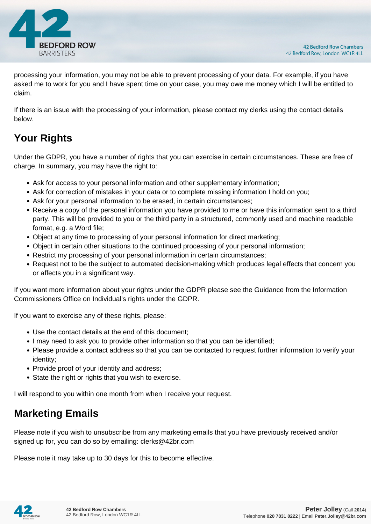

processing your information, you may not be able to prevent processing of your data. For example, if you have asked me to work for you and I have spent time on your case, you may owe me money which I will be entitled to claim.

If there is an issue with the processing of your information, please contact my clerks using the contact details below.

# **Your Rights**

Under the GDPR, you have a number of rights that you can exercise in certain circumstances. These are free of charge. In summary, you may have the right to:

- Ask for access to your personal information and other supplementary information;
- Ask for correction of mistakes in your data or to complete missing information I hold on you;
- Ask for your personal information to be erased, in certain circumstances;
- Receive a copy of the personal information you have provided to me or have this information sent to a third party. This will be provided to you or the third party in a structured, commonly used and machine readable format, e.g. a Word file;
- Object at any time to processing of your personal information for direct marketing;
- Object in certain other situations to the continued processing of your personal information;
- Restrict my processing of your personal information in certain circumstances;
- Request not to be the subject to automated decision-making which produces legal effects that concern you or affects you in a significant way.

If you want more information about your rights under the GDPR please see the Guidance from the Information Commissioners Office on Individual's rights under the GDPR.

If you want to exercise any of these rights, please:

- Use the contact details at the end of this document;
- I may need to ask you to provide other information so that you can be identified;
- Please provide a contact address so that you can be contacted to request further information to verify your identity;
- Provide proof of your identity and address;
- State the right or rights that you wish to exercise.

I will respond to you within one month from when I receive your request.

## **Marketing Emails**

Please note if you wish to unsubscribe from any marketing emails that you have previously received and/or signed up for, you can do so by emailing: clerks@42br.com

Please note it may take up to 30 days for this to become effective.